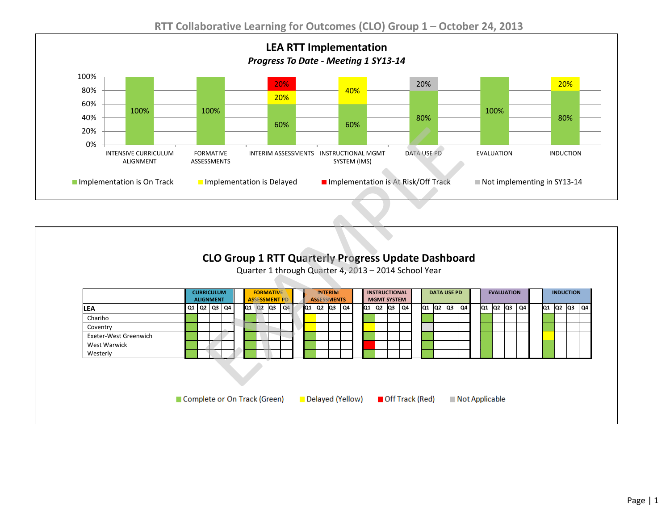

| Implementation is On Track |  |  |                                                      | Implementation is Delayed |                |                                                            | Implementation is At Risk/Off Track |                |                                       |  |                                                              |  |                                                      |                    |                                                                           |  |                               |    |  | Not implementing in SY13-14 |                              |
|----------------------------|--|--|------------------------------------------------------|---------------------------|----------------|------------------------------------------------------------|-------------------------------------|----------------|---------------------------------------|--|--------------------------------------------------------------|--|------------------------------------------------------|--------------------|---------------------------------------------------------------------------|--|-------------------------------|----|--|-----------------------------|------------------------------|
|                            |  |  |                                                      |                           |                |                                                            |                                     |                |                                       |  |                                                              |  |                                                      |                    |                                                                           |  |                               |    |  |                             |                              |
|                            |  |  |                                                      |                           |                |                                                            |                                     |                |                                       |  |                                                              |  |                                                      |                    |                                                                           |  |                               |    |  |                             |                              |
|                            |  |  |                                                      |                           |                |                                                            |                                     |                |                                       |  |                                                              |  |                                                      |                    |                                                                           |  |                               |    |  |                             |                              |
|                            |  |  |                                                      |                           |                |                                                            |                                     |                |                                       |  |                                                              |  |                                                      |                    |                                                                           |  |                               |    |  |                             |                              |
|                            |  |  |                                                      |                           |                |                                                            |                                     |                |                                       |  |                                                              |  |                                                      |                    |                                                                           |  |                               |    |  |                             |                              |
|                            |  |  |                                                      |                           |                |                                                            |                                     |                |                                       |  |                                                              |  |                                                      |                    |                                                                           |  |                               |    |  |                             |                              |
|                            |  |  |                                                      |                           |                |                                                            |                                     |                |                                       |  |                                                              |  |                                                      |                    |                                                                           |  |                               |    |  |                             |                              |
|                            |  |  |                                                      |                           |                |                                                            |                                     |                |                                       |  |                                                              |  |                                                      |                    |                                                                           |  |                               |    |  |                             |                              |
|                            |  |  |                                                      |                           |                |                                                            |                                     |                |                                       |  |                                                              |  |                                                      |                    |                                                                           |  |                               |    |  |                             |                              |
|                            |  |  |                                                      |                           |                |                                                            |                                     |                |                                       |  |                                                              |  |                                                      |                    |                                                                           |  |                               |    |  |                             |                              |
|                            |  |  |                                                      |                           |                |                                                            |                                     |                |                                       |  |                                                              |  |                                                      |                    |                                                                           |  |                               |    |  |                             | Q <sub>4</sub>               |
|                            |  |  |                                                      |                           |                |                                                            |                                     |                |                                       |  |                                                              |  |                                                      |                    |                                                                           |  |                               |    |  |                             |                              |
|                            |  |  |                                                      |                           |                |                                                            |                                     |                |                                       |  |                                                              |  |                                                      |                    |                                                                           |  |                               |    |  |                             |                              |
|                            |  |  |                                                      |                           |                |                                                            |                                     |                |                                       |  |                                                              |  |                                                      |                    |                                                                           |  |                               |    |  |                             |                              |
| Exeter-West Greenwich      |  |  |                                                      |                           |                |                                                            |                                     |                |                                       |  |                                                              |  |                                                      |                    |                                                                           |  |                               |    |  |                             |                              |
| <b>West Warwick</b>        |  |  |                                                      |                           |                |                                                            |                                     |                |                                       |  |                                                              |  |                                                      |                    |                                                                           |  |                               |    |  |                             |                              |
|                            |  |  | <b>CURRICULUM</b><br><b>ALIGNMENT</b><br>Q1 Q2 Q3 Q4 |                           | $Q1$ $Q2$ $Q3$ | <b>FORMATIVE</b><br><b>ASSESSMENT PD</b><br>Q <sub>4</sub> | İQ1                                 | <b>INTERIM</b> | <b>ASSESSMENTS</b><br>$Q2$ $Q3$<br>Q4 |  | <b>INSTRUCTIONAL</b><br><b>MGMT SYSTEM</b><br>Q1 Q2 Q3<br>Q4 |  | Quarter 1 through Quarter 4, 2013 - 2014 School Year | <b>DATA USE PD</b> | <b>CLO Group 1 RTT Quarterly Progress Update Dashboard</b><br>Q1 Q2 Q3 Q4 |  | <b>EVALUATION</b><br>Q1 Q2 Q3 | Q4 |  |                             | <b>INDUCTION</b><br>Q1 Q2 Q3 |